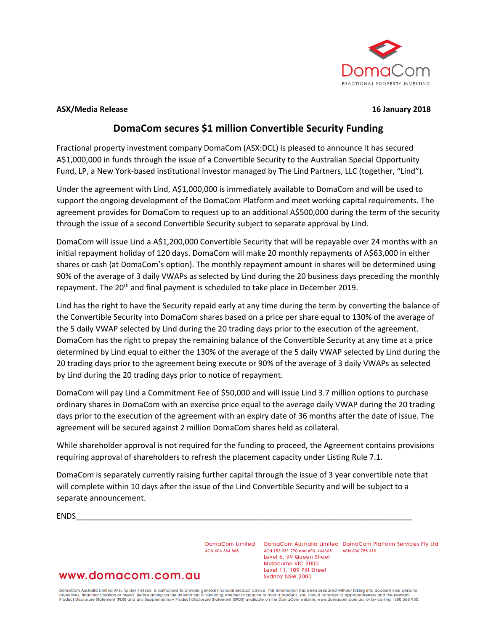

#### **ASX/Media Release 16 January 2018**

# **DomaCom secures \$1 million Convertible Security Funding**

Fractional property investment company DomaCom (ASX:DCL) is pleased to announce it has secured A\$1,000,000 in funds through the issue of a Convertible Security to the Australian Special Opportunity Fund, LP, a New York-based institutional investor managed by The Lind Partners, LLC (together, "Lind").

Under the agreement with Lind, A\$1,000,000 is immediately available to DomaCom and will be used to support the ongoing development of the DomaCom Platform and meet working capital requirements. The agreement provides for DomaCom to request up to an additional A\$500,000 during the term of the security through the issue of a second Convertible Security subject to separate approval by Lind.

DomaCom will issue Lind a A\$1,200,000 Convertible Security that will be repayable over 24 months with an initial repayment holiday of 120 days. DomaCom will make 20 monthly repayments of A\$63,000 in either shares or cash (at DomaCom's option). The monthly repayment amount in shares will be determined using 90% of the average of 3 daily VWAPs as selected by Lind during the 20 business days preceding the monthly repayment. The 20<sup>th</sup> and final payment is scheduled to take place in December 2019.

Lind has the right to have the Security repaid early at any time during the term by converting the balance of the Convertible Security into DomaCom shares based on a price per share equal to 130% of the average of the 5 daily VWAP selected by Lind during the 20 trading days prior to the execution of the agreement. DomaCom has the right to prepay the remaining balance of the Convertible Security at any time at a price determined by Lind equal to either the 130% of the average of the 5 daily VWAP selected by Lind during the 20 trading days prior to the agreement being execute or 90% of the average of 3 daily VWAPs as selected by Lind during the 20 trading days prior to notice of repayment.

DomaCom will pay Lind a Commitment Fee of \$50,000 and will issue Lind 3.7 million options to purchase ordinary shares in DomaCom with an exercise price equal to the average daily VWAP during the 20 trading days prior to the execution of the agreement with an expiry date of 36 months after the date of issue. The agreement will be secured against 2 million DomaCom shares held as collateral.

While shareholder approval is not required for the funding to proceed, the Agreement contains provisions requiring approval of shareholders to refresh the placement capacity under Listing Rule 7.1.

DomaCom is separately currently raising further capital through the issue of 3 year convertible note that will complete within 10 days after the issue of the Lind Convertible Security and will be subject to a separate announcement.

ENDS\_\_\_\_\_\_\_\_\_\_\_\_\_\_\_\_\_\_\_\_\_\_\_\_\_\_\_\_\_\_\_\_\_\_\_\_\_\_\_\_\_\_\_\_\_\_\_\_\_\_\_\_\_\_\_\_\_\_\_\_\_\_\_\_\_\_\_\_\_\_\_\_\_\_\_\_\_

ACN 604 384 885

DomaCom Limited DomaCom Australia Limited DomaCom Platform Services Pty Ltd ACN 153 951 770 and AFSL 444365 ACN 606 755 319 Level 6, 99 Queen Street Melbourne VIC 3000 Level 11, 109 Pitt Street Sydney NSW 2000

# www.domacom.com.au

DomaCom Australia Limited AFSL holder 444365, is authorised to provide general financial product advice. This information has been prepared without taking into account your personal<br>objectives, financial situation or needs